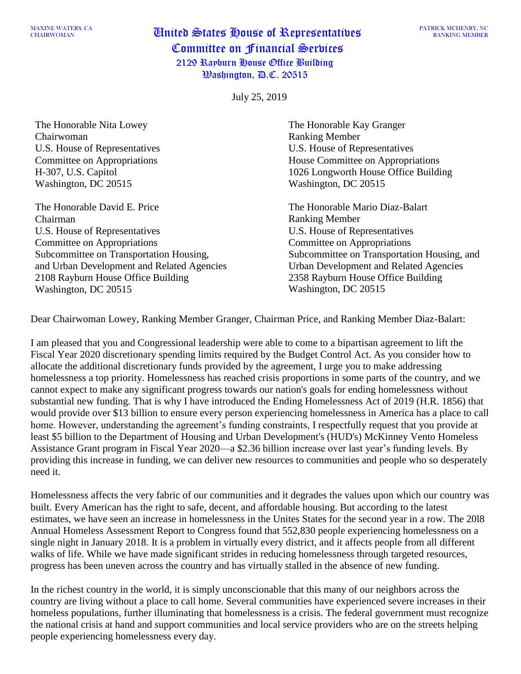CHAIRWOMAN United States House of Representatives Committee on Financial Services 2129 Rayburn House Office Building Washington, D.C. 20515

July 25, 2019

The Honorable Nita Lowey Chairwoman U.S. House of Representatives Committee on Appropriations H-307, U.S. Capitol Washington, DC 20515

The Honorable David E. Price Chairman U.S. House of Representatives Committee on Appropriations Subcommittee on Transportation Housing, and Urban Development and Related Agencies 2108 Rayburn House Office Building Washington, DC 20515

The Honorable Kay Granger Ranking Member U.S. House of Representatives House Committee on Appropriations 1026 Longworth House Office Building Washington, DC 20515

The Honorable Mario Diaz-Balart Ranking Member U.S. House of Representatives Committee on Appropriations Subcommittee on Transportation Housing, and Urban Development and Related Agencies 2358 Rayburn House Office Building Washington, DC 20515

Dear Chairwoman Lowey, Ranking Member Granger, Chairman Price, and Ranking Member Diaz-Balart:

I am pleased that you and Congressional leadership were able to come to a bipartisan agreement to lift the Fiscal Year 2020 discretionary spending limits required by the Budget Control Act. As you consider how to allocate the additional discretionary funds provided by the agreement, I urge you to make addressing homelessness a top priority. Homelessness has reached crisis proportions in some parts of the country, and we cannot expect to make any significant progress towards our nation's goals for ending homelessness without substantial new funding. That is why I have introduced the Ending Homelessness Act of 2019 (H.R. 1856) that would provide over \$13 billion to ensure every person experiencing homelessness in America has a place to call home. However, understanding the agreement's funding constraints, I respectfully request that you provide at least \$5 billion to the Department of Housing and Urban Development's (HUD's) McKinney Vento Homeless Assistance Grant program in Fiscal Year 2020—a \$2.36 billion increase over last year's funding levels. By providing this increase in funding, we can deliver new resources to communities and people who so desperately need it.

Homelessness affects the very fabric of our communities and it degrades the values upon which our country was built. Every American has the right to safe, decent, and affordable housing. But according to the latest estimates, we have seen an increase in homelessness in the Unites States for the second year in a row. The 20l8 Annual Homeless Assessment Report to Congress found that 552,830 people experiencing homelessness on a single night in January 2018. It is a problem in virtually every district, and it affects people from all different walks of life. While we have made significant strides in reducing homelessness through targeted resources, progress has been uneven across the country and has virtually stalled in the absence of new funding.

In the richest country in the world, it is simply unconscionable that this many of our neighbors across the country are living without a place to call home. Several communities have experienced severe increases in their homeless populations, further illuminating that homelessness is a crisis. The federal government must recognize the national crisis at hand and support communities and local service providers who are on the streets helping people experiencing homelessness every day.